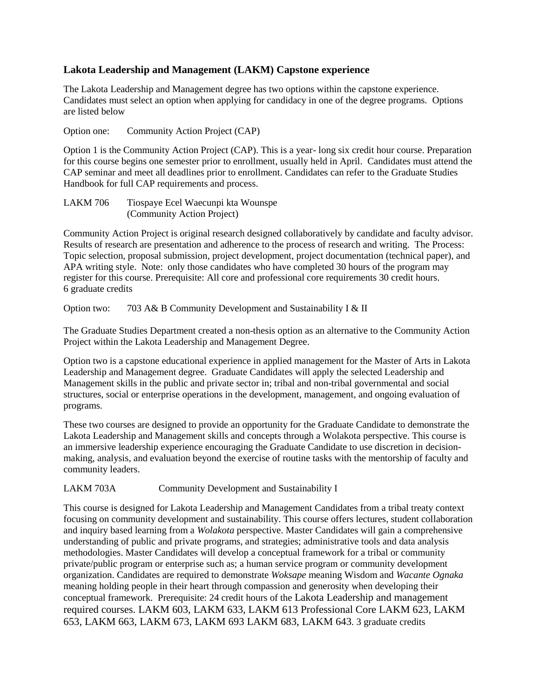## **Lakota Leadership and Management (LAKM) Capstone experience**

The Lakota Leadership and Management degree has two options within the capstone experience. Candidates must select an option when applying for candidacy in one of the degree programs. Options are listed below

Option one: Community Action Project (CAP)

Option 1 is the Community Action Project (CAP). This is a year- long six credit hour course. Preparation for this course begins one semester prior to enrollment, usually held in April. Candidates must attend the CAP seminar and meet all deadlines prior to enrollment. Candidates can refer to the Graduate Studies Handbook for full CAP requirements and process.

LAKM 706 Tiospaye Ecel Waecunpi kta Wounspe (Community Action Project)

Community Action Project is original research designed collaboratively by candidate and faculty advisor. Results of research are presentation and adherence to the process of research and writing. The Process: Topic selection, proposal submission, project development, project documentation (technical paper), and APA writing style. Note: only those candidates who have completed 30 hours of the program may register for this course. Prerequisite: All core and professional core requirements 30 credit hours. 6 graduate credits

Option two: 703 A& B Community Development and Sustainability I & II

The Graduate Studies Department created a non-thesis option as an alternative to the Community Action Project within the Lakota Leadership and Management Degree.

Option two is a capstone educational experience in applied management for the Master of Arts in Lakota Leadership and Management degree. Graduate Candidates will apply the selected Leadership and Management skills in the public and private sector in; tribal and non-tribal governmental and social structures, social or enterprise operations in the development, management, and ongoing evaluation of programs.

These two courses are designed to provide an opportunity for the Graduate Candidate to demonstrate the Lakota Leadership and Management skills and concepts through a Wolakota perspective. This course is an immersive leadership experience encouraging the Graduate Candidate to use discretion in decisionmaking, analysis, and evaluation beyond the exercise of routine tasks with the mentorship of faculty and community leaders.

LAKM 703A Community Development and Sustainability I

This course is designed for Lakota Leadership and Management Candidates from a tribal treaty context focusing on community development and sustainability. This course offers lectures, student collaboration and inquiry based learning from a *Wolakota* perspective. Master Candidates will gain a comprehensive understanding of public and private programs, and strategies; administrative tools and data analysis methodologies. Master Candidates will develop a conceptual framework for a tribal or community private/public program or enterprise such as; a human service program or community development organization. Candidates are required to demonstrate *Woksape* meaning Wisdom and *Wacante Ognaka* meaning holding people in their heart through compassion and generosity when developing their conceptual framework. Prerequisite: 24 credit hours of the Lakota Leadership and management required courses. LAKM 603, LAKM 633, LAKM 613 Professional Core LAKM 623, LAKM 653, LAKM 663, LAKM 673, LAKM 693 LAKM 683, LAKM 643. 3 graduate credits